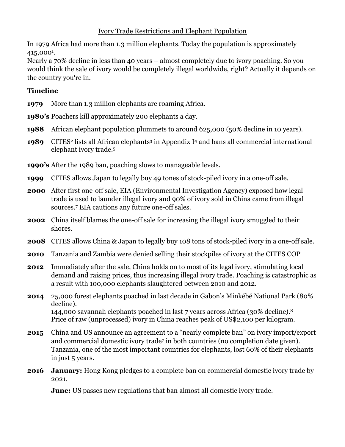## Ivory Trade Restrictions and Elephant Population

In 1979 Africa had more than 1.3 million elephants. Today the population is approximately 415,0001.

Nearly a 70% decline in less than 40 years – almost completely due to ivory poaching. So you would think the sale of ivory would be completely illegal worldwide, right? Actually it depends on the country you're in.

## **Timeline**

**1979** More than 1.3 million elephants are roaming Africa.

**1980's** Poachers kill approximately 200 elephants a day.

- **1988** African elephant population plummets to around 625,000 (50% decline in 10 years).
- **1989** CITES<sup>2</sup> lists all African elephants<sup>3</sup> in Appendix I<sup>4</sup> and bans all commercial international elephant ivory trade.5

**1990's** After the 1989 ban, poaching slows to manageable levels.

- **1999** CITES allows Japan to legally buy 49 tones of stock-piled ivory in a one-off sale.
- **2000** After first one-off sale, EIA (Environmental Investigation Agency) exposed how legal trade is used to launder illegal ivory and 90% of ivory sold in China came from illegal sources.7 EIA cautions any future one-off sales.
- **2002** China itself blames the one-off sale for increasing the illegal ivory smuggled to their shores.
- **2008** CITES allows China & Japan to legally buy 108 tons of stock-piled ivory in a one-off sale.
- **2010** Tanzania and Zambia were denied selling their stockpiles of ivory at the CITES COP
- **2012** Immediately after the sale, China holds on to most of its legal ivory, stimulating local demand and raising prices, thus increasing illegal ivory trade. Poaching is catastrophic as a result with 100,000 elephants slaughtered between 2010 and 2012.
- **2014** 25,000 forest elephants poached in last decade in Gabon's Minkébé National Park (80% decline). 144,000 savannah elephants poached in last 7 years across Africa (30% decline).8 Price of raw (unprocessed) ivory in China reaches peak of US\$2,100 per kilogram.
- **2015** China and US announce an agreement to a "nearly complete ban" on ivory import/export and commercial domestic ivory trade<sup>7</sup> in both countries (no completion date given). Tanzania, one of the most important countries for elephants, lost 60% of their elephants in just 5 years.
- **2016 January:** Hong Kong pledges to a complete ban on commercial domestic ivory trade by 2021.

**June:** US passes new regulations that ban almost all domestic ivory trade.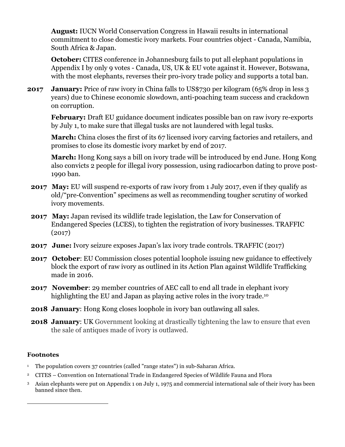**August:** IUCN World Conservation Congress in Hawaii results in international commitment to close domestic ivory markets. Four countries object - Canada, Namibia, South Africa & Japan.

**October:** CITES conference in Johannesburg fails to put all elephant populations in Appendix I by only 9 votes - Canada, US, UK & EU vote against it. However, Botswana, with the most elephants, reverses their pro-ivory trade policy and supports a total ban.

**2017 January:** Price of raw ivory in China falls to US\$730 per kilogram (65% drop in less 3) years) due to Chinese economic slowdown, anti-poaching team success and crackdown on corruption.

**February:** Draft EU guidance document indicates possible ban on raw ivory re-exports by July 1, to make sure that illegal tusks are not laundered with legal tusks.

**March:** China closes the first of its 67 licensed ivory carving factories and retailers, and promises to close its domestic ivory market by end of 2017.

**March:** Hong Kong says a bill on ivory trade will be introduced by end June. Hong Kong also convicts 2 people for illegal ivory possession, using radiocarbon dating to prove post-1990 ban.

- **2017 May:** EU will suspend re-exports of raw ivory from 1 July 2017, even if they qualify as old/"pre-Convention" specimens as well as recommending tougher scrutiny of worked ivory movements.
- **2017 May:** Japan revised its wildlife trade legislation, the Law for Conservation of Endangered Species (LCES), to tighten the registration of ivory businesses. TRAFFIC (2017)
- **2017 June:** Ivory seizure exposes Japan's lax ivory trade controls. TRAFFIC (2017)
- **2017** October: EU Commission closes potential loophole issuing new guidance to effectively block the export of raw ivory as outlined in its Action Plan against Wildlife Trafficking made in 2016.
- **2017 November**: 29 member countries of AEC call to end all trade in elephant ivory highlighting the EU and Japan as playing active roles in the ivory trade.<sup>10</sup>
- **2018 January:** Hong Kong closes loophole in ivory ban outlawing all sales.
- **2018 January:** UK Government looking at drastically tightening the law to ensure that even the sale of antiques made of ivory is outlawed.

## **Footnotes**

 

- <sup>1</sup> The population covers 37 countries (called "range states") in sub-Saharan Africa.
- 2 CITES Convention on International Trade in Endangered Species of Wildlife Fauna and Flora
- 3 Asian elephants were put on Appendix 1 on July 1, 1975 and commercial international sale of their ivory has been banned since then.